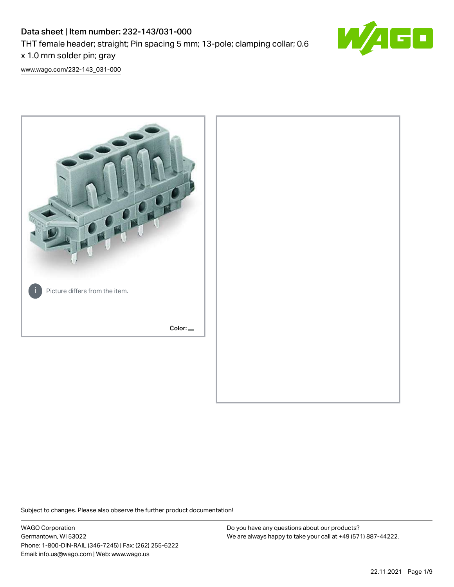# Data sheet | Item number: 232-143/031-000 THT female header; straight; Pin spacing 5 mm; 13-pole; clamping collar; 0.6 x 1.0 mm solder pin; gray



[www.wago.com/232-143\\_031-000](http://www.wago.com/232-143_031-000)



Subject to changes. Please also observe the further product documentation!

WAGO Corporation Germantown, WI 53022 Phone: 1-800-DIN-RAIL (346-7245) | Fax: (262) 255-6222 Email: info.us@wago.com | Web: www.wago.us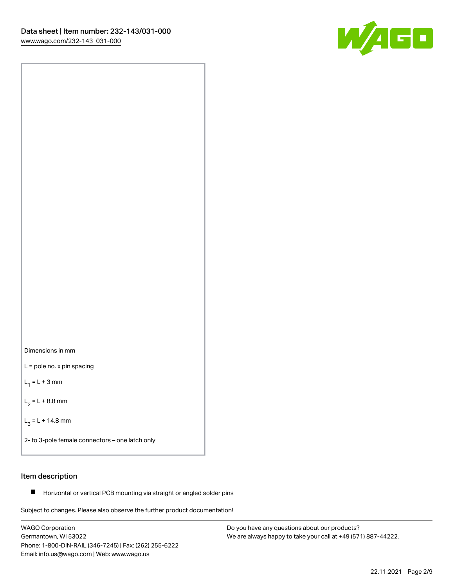



L = pole no. x pin spacing

 $L_1 = L + 3$  mm

 $L_2 = L + 8.8$  mm

 $L_3 = L + 14.8$  mm

2- to 3-pole female connectors – one latch only

## Item description

**Horizontal or vertical PCB mounting via straight or angled solder pins** 

Subject to changes. Please also observe the further product documentation! For board-to-board and board-to-wire connections

WAGO Corporation Germantown, WI 53022 Phone: 1-800-DIN-RAIL (346-7245) | Fax: (262) 255-6222 Email: info.us@wago.com | Web: www.wago.us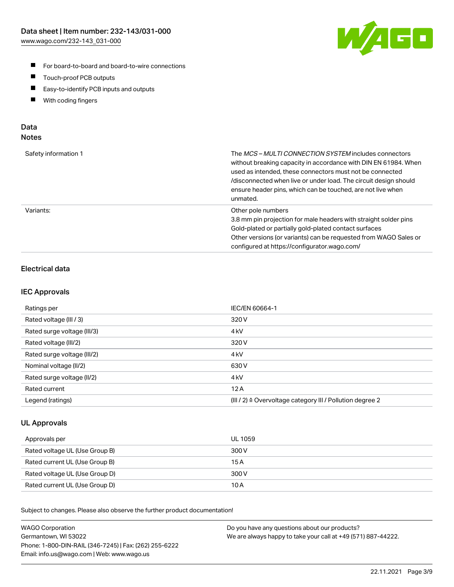

- For board-to-board and board-to-wire connections
- $\blacksquare$ Touch-proof PCB outputs
- $\blacksquare$ Easy-to-identify PCB inputs and outputs
- $\blacksquare$ With coding fingers

#### Data **Notes**

| Safety information 1 | The <i>MCS – MULTI CONNECTION SYSTEM</i> includes connectors<br>without breaking capacity in accordance with DIN EN 61984. When<br>used as intended, these connectors must not be connected<br>/disconnected when live or under load. The circuit design should<br>ensure header pins, which can be touched, are not live when<br>unmated. |
|----------------------|--------------------------------------------------------------------------------------------------------------------------------------------------------------------------------------------------------------------------------------------------------------------------------------------------------------------------------------------|
| Variants:            | Other pole numbers<br>3.8 mm pin projection for male headers with straight solder pins<br>Gold-plated or partially gold-plated contact surfaces<br>Other versions (or variants) can be requested from WAGO Sales or<br>configured at https://configurator.wago.com/                                                                        |

## Electrical data

#### IEC Approvals

| Ratings per                 | IEC/EN 60664-1                                                        |
|-----------------------------|-----------------------------------------------------------------------|
| Rated voltage (III / 3)     | 320 V                                                                 |
| Rated surge voltage (III/3) | 4 <sub>k</sub> V                                                      |
| Rated voltage (III/2)       | 320 V                                                                 |
| Rated surge voltage (III/2) | 4 <sub>k</sub> V                                                      |
| Nominal voltage (II/2)      | 630 V                                                                 |
| Rated surge voltage (II/2)  | 4 <sub>kV</sub>                                                       |
| Rated current               | 12A                                                                   |
| Legend (ratings)            | $(III / 2)$ $\triangle$ Overvoltage category III / Pollution degree 2 |

#### UL Approvals

| Approvals per                  | UL 1059 |
|--------------------------------|---------|
| Rated voltage UL (Use Group B) | 300 V   |
| Rated current UL (Use Group B) | 15 A    |
| Rated voltage UL (Use Group D) | 300 V   |
| Rated current UL (Use Group D) | 10 A    |

| <b>WAGO Corporation</b>                                | Do you have any questions about our products?                 |
|--------------------------------------------------------|---------------------------------------------------------------|
| Germantown, WI 53022                                   | We are always happy to take your call at +49 (571) 887-44222. |
| Phone: 1-800-DIN-RAIL (346-7245)   Fax: (262) 255-6222 |                                                               |
| Email: info.us@wago.com   Web: www.wago.us             |                                                               |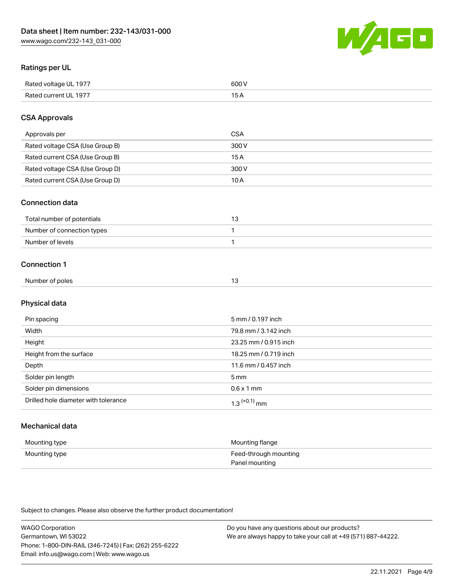

## Ratings per UL

| Rated voltage UL 1977                | COO V<br>ור |
|--------------------------------------|-------------|
| <b>Rated</b><br>UL 1977<br>curront l | _____       |

## CSA Approvals

| Approvals per                   | <b>CSA</b> |
|---------------------------------|------------|
| Rated voltage CSA (Use Group B) | 300 V      |
| Rated current CSA (Use Group B) | 15 A       |
| Rated voltage CSA (Use Group D) | 300 V      |
| Rated current CSA (Use Group D) | 10 A       |

#### Connection data

| Total number of potentials |  |
|----------------------------|--|
| Number of connection types |  |
| Number of levels           |  |

#### Connection 1

| Number of poles | ີ |
|-----------------|---|

# Physical data

| Pin spacing                          | 5 mm / 0.197 inch     |
|--------------------------------------|-----------------------|
| Width                                | 79.8 mm / 3.142 inch  |
| Height                               | 23.25 mm / 0.915 inch |
| Height from the surface              | 18.25 mm / 0.719 inch |
| Depth                                | 11.6 mm / 0.457 inch  |
| Solder pin length                    | 5 <sub>mm</sub>       |
| Solder pin dimensions                | $0.6 \times 1$ mm     |
| Drilled hole diameter with tolerance | $1.3$ $(+0.1)$ mm     |

# Mechanical data

| Mounting type | Mounting flange                         |
|---------------|-----------------------------------------|
| Mounting type | Feed-through mounting<br>Panel mounting |

| <b>WAGO Corporation</b>                                | Do you have any questions about our products?                 |
|--------------------------------------------------------|---------------------------------------------------------------|
| Germantown, WI 53022                                   | We are always happy to take your call at +49 (571) 887-44222. |
| Phone: 1-800-DIN-RAIL (346-7245)   Fax: (262) 255-6222 |                                                               |
| Email: info.us@wago.com   Web: www.wago.us             |                                                               |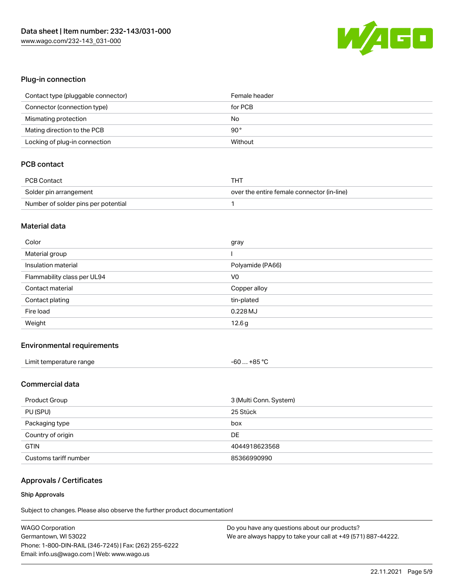

## Plug-in connection

| Contact type (pluggable connector) | Female header |
|------------------------------------|---------------|
| Connector (connection type)        | for PCB       |
| Mismating protection               | No            |
| Mating direction to the PCB        | $90^{\circ}$  |
| Locking of plug-in connection      | Without       |

## PCB contact

| PCB Contact                         | тнт                                        |
|-------------------------------------|--------------------------------------------|
| Solder pin arrangement              | over the entire female connector (in-line) |
| Number of solder pins per potential |                                            |

#### Material data

| Color                       | gray             |
|-----------------------------|------------------|
| Material group              |                  |
| Insulation material         | Polyamide (PA66) |
| Flammability class per UL94 | V <sub>0</sub>   |
| Contact material            |                  |
|                             | Copper alloy     |
| Contact plating             | tin-plated       |
| Fire load                   | 0.228 MJ         |

#### Environmental requirements

| Limit temperature range | $-60+85 °C$ |
|-------------------------|-------------|
|-------------------------|-------------|

## Commercial data

| Product Group         | 3 (Multi Conn. System) |
|-----------------------|------------------------|
| PU (SPU)              | 25 Stück               |
| Packaging type        | box                    |
| Country of origin     | DE                     |
| <b>GTIN</b>           | 4044918623568          |
| Customs tariff number | 85366990990            |

# Approvals / Certificates

#### Ship Approvals

| <b>WAGO Corporation</b>                                | Do you have any questions about our products?                 |
|--------------------------------------------------------|---------------------------------------------------------------|
| Germantown, WI 53022                                   | We are always happy to take your call at +49 (571) 887-44222. |
| Phone: 1-800-DIN-RAIL (346-7245)   Fax: (262) 255-6222 |                                                               |
| Email: info.us@wago.com   Web: www.wago.us             |                                                               |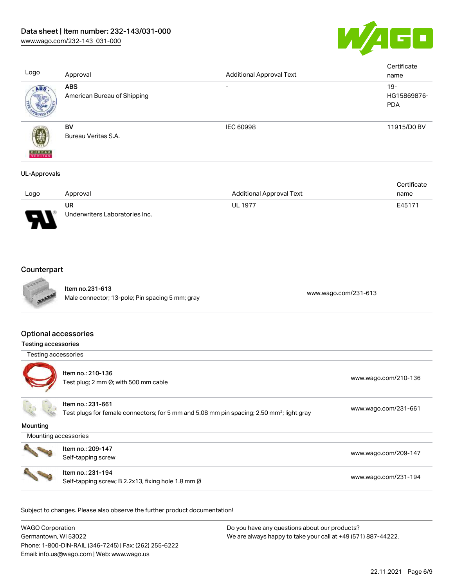

| Logo                     | Approval                                  | <b>Additional Approval Text</b> | Certificate<br>name                |
|--------------------------|-------------------------------------------|---------------------------------|------------------------------------|
| ABS.                     | <b>ABS</b><br>American Bureau of Shipping | $\overline{\phantom{0}}$        | $19-$<br>HG15869876-<br><b>PDA</b> |
| <b>BUREAU</b><br>VERITAS | BV<br>Bureau Veritas S.A.                 | <b>IEC 60998</b>                | 11915/D0 BV                        |
| UL-Approvals             |                                           |                                 |                                    |

|                               |                                |                                 | Certificate |
|-------------------------------|--------------------------------|---------------------------------|-------------|
| Logo                          | Approval                       | <b>Additional Approval Text</b> | name        |
|                               | UR                             | <b>UL 1977</b>                  | E45171      |
| J<br>$\overline{\phantom{a}}$ | Underwriters Laboratories Inc. |                                 |             |

# **Counterpart**



Item no.231-613 nem 10.231-613<br>Male connector; 13-pole; Pin spacing 5 mm; gray [www.wago.com/231-613](https://www.wago.com/231-613)

#### Optional accessories

| <b>Testing accessories</b> |                                                                                                                            |                      |
|----------------------------|----------------------------------------------------------------------------------------------------------------------------|----------------------|
| Testing accessories        |                                                                                                                            |                      |
|                            | Item no.: 210-136<br>Test plug; 2 mm Ø; with 500 mm cable                                                                  | www.wago.com/210-136 |
|                            | Item no.: 231-661<br>Test plugs for female connectors; for 5 mm and 5.08 mm pin spacing; 2,50 mm <sup>2</sup> ; light gray | www.wago.com/231-661 |
| Mounting                   |                                                                                                                            |                      |
| Mounting accessories       |                                                                                                                            |                      |
|                            | Item no.: 209-147<br>Self-tapping screw                                                                                    | www.wago.com/209-147 |
|                            | Item no.: 231-194<br>Self-tapping screw; B 2.2x13, fixing hole 1.8 mm Ø                                                    | www.wago.com/231-194 |

| WAGO Corporation                                       | Do you have any questions about our products?                 |
|--------------------------------------------------------|---------------------------------------------------------------|
| Germantown, WI 53022                                   | We are always happy to take your call at +49 (571) 887-44222. |
| Phone: 1-800-DIN-RAIL (346-7245)   Fax: (262) 255-6222 |                                                               |
| Email: info.us@wago.com   Web: www.wago.us             |                                                               |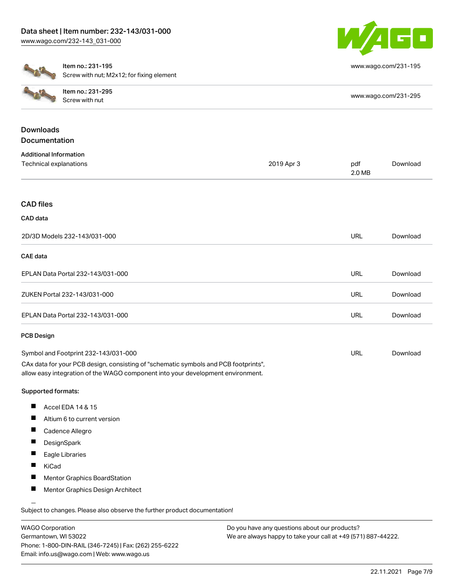

[www.wago.com/231-195](http://www.wago.com/231-195)



Item no.: 231-195 Screw with nut; M2x12; for fixing element

| <b>COLES</b>     | Item no.: 231-295<br>Screw with nut | www.wago.com/231-295 |
|------------------|-------------------------------------|----------------------|
| <b>Downloads</b> |                                     |                      |
| Documentation    |                                     |                      |

| <b>Additional Information</b>                                                       |            |               |          |
|-------------------------------------------------------------------------------------|------------|---------------|----------|
| Technical explanations                                                              | 2019 Apr 3 | pdf<br>2.0 MB | Download |
|                                                                                     |            |               |          |
| <b>CAD files</b>                                                                    |            |               |          |
| CAD data                                                                            |            |               |          |
| 2D/3D Models 232-143/031-000                                                        |            | <b>URL</b>    | Download |
| <b>CAE</b> data                                                                     |            |               |          |
| EPLAN Data Portal 232-143/031-000                                                   |            | <b>URL</b>    | Download |
| ZUKEN Portal 232-143/031-000                                                        |            | <b>URL</b>    | Download |
| EPLAN Data Portal 232-143/031-000                                                   |            | <b>URL</b>    | Download |
| <b>PCB Design</b>                                                                   |            |               |          |
| Symbol and Footprint 232-143/031-000                                                |            | <b>URL</b>    | Download |
| CAx data for your PCB design, consisting of "schematic symbols and PCB footprints", |            |               |          |

allow easy integration of the WAGO component into your development environment.

#### Supported formats:

- $\blacksquare$ Accel EDA 14 & 15
- $\blacksquare$ Altium 6 to current version
- $\blacksquare$ Cadence Allegro
- $\blacksquare$ **DesignSpark**
- $\blacksquare$ Eagle Libraries
- $\blacksquare$ KiCad
- $\blacksquare$ Mentor Graphics BoardStation
- П Mentor Graphics Design Architect

Subject to changes. Please also observe the further product documentation!

WAGO Corporation Germantown, WI 53022 Phone: 1-800-DIN-RAIL (346-7245) | Fax: (262) 255-6222 Email: info.us@wago.com | Web: www.wago.us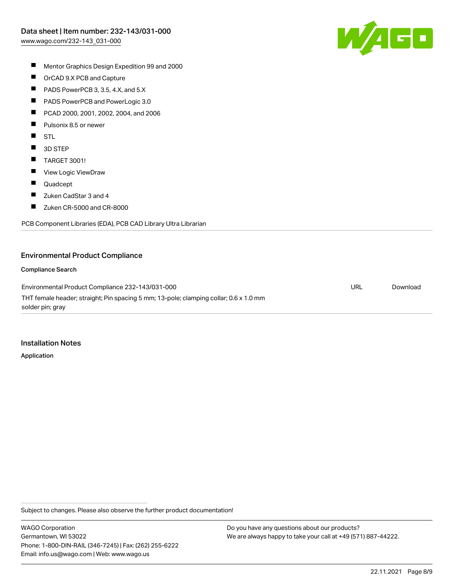

- $\blacksquare$ Mentor Graphics Design Expedition 99 and 2000
- $\blacksquare$ OrCAD 9.X PCB and Capture
- $\blacksquare$ PADS PowerPCB 3, 3.5, 4.X, and 5.X
- $\blacksquare$ PADS PowerPCB and PowerLogic 3.0
- $\blacksquare$ PCAD 2000, 2001, 2002, 2004, and 2006
- $\blacksquare$ Pulsonix 8.5 or newer
- $\blacksquare$ STL
- $\blacksquare$ 3D STEP
- $\blacksquare$ TARGET 3001!
- $\blacksquare$ View Logic ViewDraw
- $\blacksquare$ Quadcept
- $\blacksquare$ Zuken CadStar 3 and 4
- $\blacksquare$ Zuken CR-5000 and CR-8000

PCB Component Libraries (EDA), PCB CAD Library Ultra Librarian

#### Environmental Product Compliance

#### Compliance Search

Environmental Product Compliance 232-143/031-000 THT female header; straight; Pin spacing 5 mm; 13-pole; clamping collar; 0.6 x 1.0 mm solder pin; gray URL [Download](https://www.wago.com/global/d/ComplianceLinkMediaContainer_232-143_031-000)

#### Installation Notes

Application

Subject to changes. Please also observe the further product documentation!

WAGO Corporation Germantown, WI 53022 Phone: 1-800-DIN-RAIL (346-7245) | Fax: (262) 255-6222 Email: info.us@wago.com | Web: www.wago.us